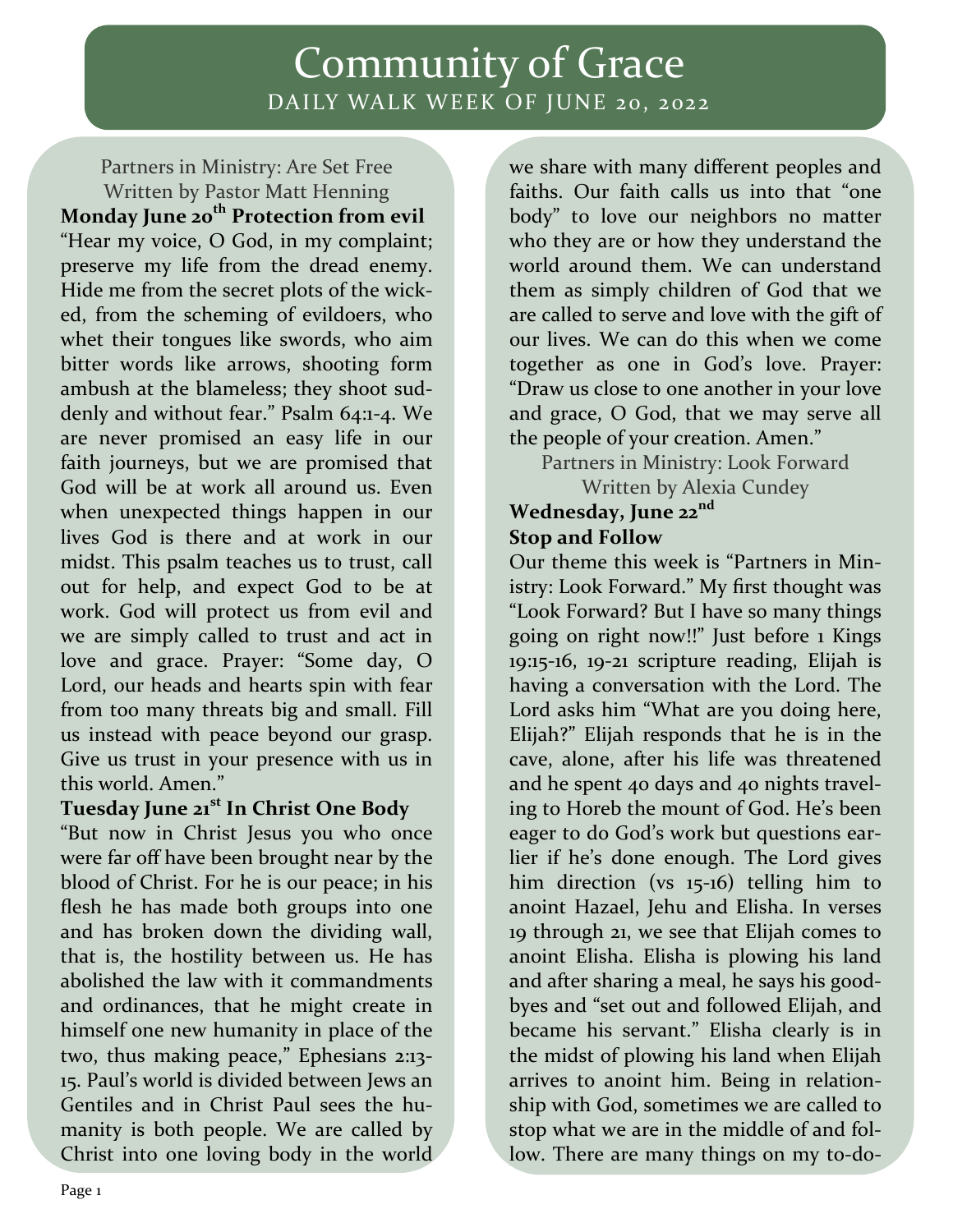## Community of Grace DAILY WALK WEEK OF JUNE 20, 2022

Partners in Ministry: Are Set Free Written by Pastor Matt Henning **Monday June 20th Protection from evil**  "Hear my voice, O God, in my complaint; preserve my life from the dread enemy. Hide me from the secret plots of the wick‐ ed, from the scheming of evildoers, who whet their tongues like swords, who aim bitter words like arrows, shooting form ambush at the blameless; they shoot sud‐ denly and without fear." Psalm 64:1‐4. We are never promised an easy life in our faith journeys, but we are promised that God will be at work all around us. Even when unexpected things happen in our lives God is there and at work in our midst. This psalm teaches us to trust, call out for help, and expect God to be at work. God will protect us from evil and we are simply called to trust and act in love and grace. Prayer: "Some day, O Lord, our heads and hearts spin with fear from too many threats big and small. Fill us instead with peace beyond our grasp. Give us trust in your presence with us in this world. Amen."

### **Tuesday June 21st In Christ One Body**

"But now in Christ Jesus you who once were far off have been brought near by the blood of Christ. For he is our peace; in his flesh he has made both groups into one and has broken down the dividing wall, that is, the hostility between us. He has abolished the law with it commandments and ordinances, that he might create in himself one new humanity in place of the two, thus making peace," Ephesians 2:13‐ 15. Paul's world is divided between Jews an Gentiles and in Christ Paul sees the hu‐ manity is both people. We are called by Christ into one loving body in the world

we share with many different peoples and faiths. Our faith calls us into that "one body" to love our neighbors no matter who they are or how they understand the world around them. We can understand them as simply children of God that we are called to serve and love with the gift of our lives. We can do this when we come together as one in God's love. Prayer: "Draw us close to one another in your love and grace, O God, that we may serve all the people of your creation. Amen."

Partners in Ministry: Look Forward

Written by Alexia Cundey

### **Wednesday, June 22nd Stop and Follow**

Our theme this week is "Partners in Min‐ istry: Look Forward." My first thought was "Look Forward? But I have so many things going on right now!!" Just before 1 Kings 19:15‐16, 19‐21 scripture reading, Elijah is having a conversation with the Lord. The Lord asks him "What are you doing here, Elijah?" Elijah responds that he is in the cave, alone, after his life was threatened and he spent 40 days and 40 nights travel‐ ing to Horeb the mount of God. He's been eager to do God's work but questions ear‐ lier if he's done enough. The Lord gives him direction (vs 15-16) telling him to anoint Hazael, Jehu and Elisha. In verses 19 through 21, we see that Elijah comes to anoint Elisha. Elisha is plowing his land and after sharing a meal, he says his good‐ byes and "set out and followed Elijah, and became his servant." Elisha clearly is in the midst of plowing his land when Elijah arrives to anoint him. Being in relation‐ ship with God, sometimes we are called to stop what we are in the middle of and fol‐ low. There are many things on my to-do-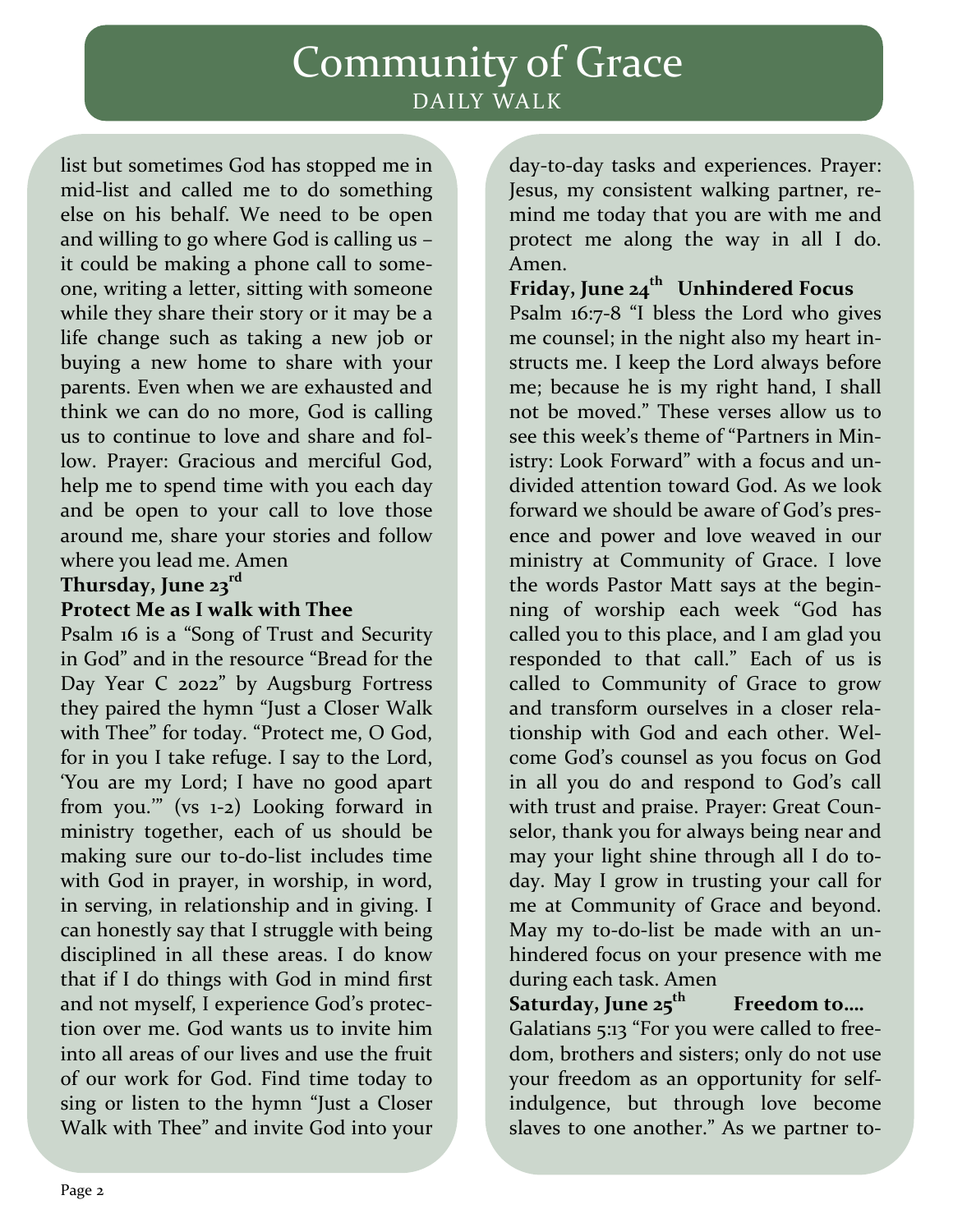## Community of Grace DAILY WALK

list but sometimes God has stopped me in mid‐list and called me to do something else on his behalf. We need to be open and willing to go where God is calling us – it could be making a phone call to some‐ one, writing a letter, sitting with someone while they share their story or it may be a life change such as taking a new job or buying a new home to share with your parents. Even when we are exhausted and think we can do no more, God is calling us to continue to love and share and fol‐ low. Prayer: Gracious and merciful God, help me to spend time with you each day and be open to your call to love those around me, share your stories and follow where you lead me. Amen

### **Thursday, June 23rd**

### **Protect Me as I walk with Thee**

Psalm 16 is a "Song of Trust and Security in God" and in the resource "Bread for the Day Year C 2022" by Augsburg Fortress they paired the hymn "Just a Closer Walk with Thee" for today. "Protect me, O God, for in you I take refuge. I say to the Lord, 'You are my Lord; I have no good apart from you.'" (vs 1‐2) Looking forward in ministry together, each of us should be making sure our to‐do‐list includes time with God in prayer, in worship, in word, in serving, in relationship and in giving. I can honestly say that I struggle with being disciplined in all these areas. I do know that if I do things with God in mind first and not myself, I experience God's protec‐ tion over me. God wants us to invite him into all areas of our lives and use the fruit of our work for God. Find time today to sing or listen to the hymn "Just a Closer Walk with Thee" and invite God into your

day‐to‐day tasks and experiences. Prayer: Jesus, my consistent walking partner, re‐ mind me today that you are with me and protect me along the way in all I do. Amen.

# **Friday, June 24th Unhindered Focus**

Psalm 16:7‐8 "I bless the Lord who gives me counsel; in the night also my heart instructs me. I keep the Lord always before me; because he is my right hand, I shall not be moved." These verses allow us to see this week's theme of "Partners in Min‐ istry: Look Forward" with a focus and un‐ divided attention toward God. As we look forward we should be aware of God's pres‐ ence and power and love weaved in our ministry at Community of Grace. I love the words Pastor Matt says at the begin‐ ning of worship each week "God has called you to this place, and I am glad you responded to that call." Each of us is called to Community of Grace to grow and transform ourselves in a closer rela‐ tionship with God and each other. Wel‐ come God's counsel as you focus on God in all you do and respond to God's call with trust and praise. Prayer: Great Coun‐ selor, thank you for always being near and may your light shine through all I do to‐ day. May I grow in trusting your call for me at Community of Grace and beyond. May my to-do-list be made with an unhindered focus on your presence with me during each task. Amen

**Saturday, June 25th Freedom to….**  Galatians 5:13 "For you were called to free‐ dom, brothers and sisters; only do not use your freedom as an opportunity for self‐ indulgence, but through love become slaves to one another." As we partner to-